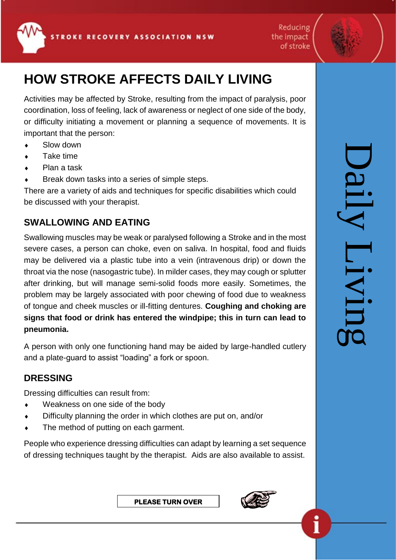

# **HOW STROKE AFFECTS DAILY LIVING**

Activities may be affected by Stroke, resulting from the impact of paralysis, poor coordination, loss of feeling, lack of awareness or neglect of one side of the body, or difficulty initiating a movement or planning a sequence of movements. It is important that the person:

- Slow down
- Take time
- Plan a task
- Break down tasks into a series of simple steps.

There are a variety of aids and techniques for specific disabilities which could be discussed with your therapist.

# **SWALLOWING AND EATING**

Swallowing muscles may be weak or paralysed following a Stroke and in the most severe cases, a person can choke, even on saliva. In hospital, food and fluids may be delivered via a plastic tube into a vein (intravenous drip) or down the throat via the nose (nasogastric tube). In milder cases, they may cough or splutter after drinking, but will manage semi-solid foods more easily. Sometimes, the problem may be largely associated with poor chewing of food due to weakness of tongue and cheek muscles or ill-fitting dentures. **Coughing and choking are signs that food or drink has entered the windpipe; this in turn can lead to pneumonia.** eries of simple steps.<br>
techniques for specific disabilities which could<br>
t.t.<br> **RING**<br>
ak or paralysed following a Stroke and in the most<br>
hoke, even on saliva. In hospital, food and fluids<br>
tube). In milder cases, they m

A person with only one functioning hand may be aided by large-handled cutlery and a plate-guard to assist "loading" a fork or spoon.

## **DRESSING**

Dressing difficulties can result from:

- Weakness on one side of the body
- Difficulty planning the order in which clothes are put on, and/or
- The method of putting on each garment.

People who experience dressing difficulties can adapt by learning a set sequence of dressing techniques taught by the therapist. Aids are also available to assist.